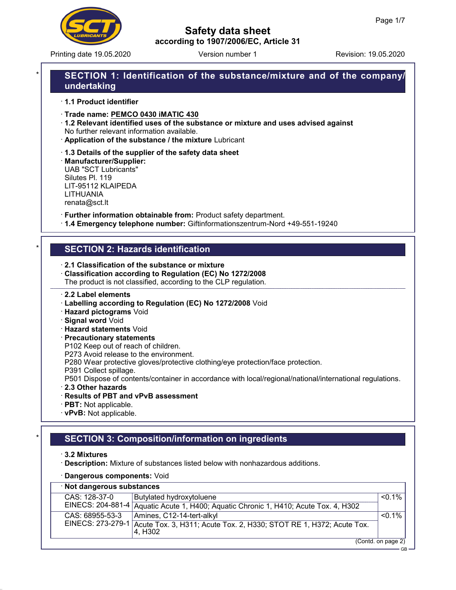

Printing date 19.05.2020 **Revision: 19.05.2020** Version number 1

# Safety data sheet according to 1907/2006/EC, Article 31

# SECTION 1: Identification of the substance/mixture and of the company/ undertaking

· 1.1 Product identifier

- · Trade name: PEMCO 0430 iMATIC 430
- · 1.2 Relevant identified uses of the substance or mixture and uses advised against No further relevant information available.
- · Application of the substance / the mixture Lubricant
- · 1.3 Details of the supplier of the safety data sheet

· Manufacturer/Supplier: UAB "SCT Lubricants" Silutes Pl. 119 LIT-95112 KLAIPEDA LITHUANIA renata@sct.lt

· Further information obtainable from: Product safety department.

· 1.4 Emergency telephone number: Giftinformationszentrum-Nord +49-551-19240

#### **SECTION 2: Hazards identification**

- · 2.1 Classification of the substance or mixture
- · Classification according to Regulation (EC) No 1272/2008 The product is not classified, according to the CLP regulation.

#### · 2.2 Label elements

- · Labelling according to Regulation (EC) No 1272/2008 Void
- · Hazard pictograms Void
- · Signal word Void
- · Hazard statements Void
- · Precautionary statements
- P102 Keep out of reach of children.
- P273 Avoid release to the environment.
- P280 Wear protective gloves/protective clothing/eye protection/face protection.
- P391 Collect spillage.
- P501 Dispose of contents/container in accordance with local/regional/national/international regulations.
- · 2.3 Other hazards
- · Results of PBT and vPvB assessment
- · PBT: Not applicable.
- · vPvB: Not applicable.

# **SECTION 3: Composition/information on ingredients**

- · 3.2 Mixtures
- · Description: Mixture of substances listed below with nonhazardous additions.
- · Dangerous components: Void

| · Not dangerous substances |                                                                                                  |                    |  |
|----------------------------|--------------------------------------------------------------------------------------------------|--------------------|--|
| CAS: 128-37-0              | Butylated hydroxytoluene                                                                         | $< 0.1\%$          |  |
|                            | EINECS: 204-881-4 Aquatic Acute 1, H400; Aquatic Chronic 1, H410; Acute Tox. 4, H302             |                    |  |
| CAS: 68955-53-3            | Amines, C12-14-tert-alkyl                                                                        | $< 0.1\%$          |  |
|                            | EINECS: 273-279-1 Acute Tox. 3, H311; Acute Tox. 2, H330; STOT RE 1, H372; Acute Tox.<br>4. H302 |                    |  |
|                            |                                                                                                  | (Contd. on page 2) |  |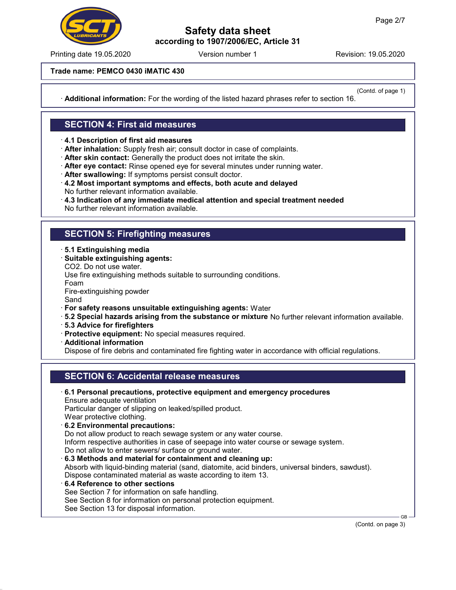

Printing date 19.05.2020 **Revision: 19.05.2020** Version number 1

Trade name: PEMCO 0430 iMATIC 430

(Contd. of page 1)

· Additional information: For the wording of the listed hazard phrases refer to section 16.

#### SECTION 4: First aid measures

· 4.1 Description of first aid measures

· After inhalation: Supply fresh air; consult doctor in case of complaints.

· After skin contact: Generally the product does not irritate the skin.

· After eye contact: Rinse opened eye for several minutes under running water.

· After swallowing: If symptoms persist consult doctor.

- · 4.2 Most important symptoms and effects, both acute and delayed No further relevant information available.
- $\cdot$  4.3 Indication of any immediate medical attention and special treatment needed No further relevant information available.

#### SECTION 5: Firefighting measures

· 5.1 Extinguishing media

· Suitable extinguishing agents:

CO2. Do not use water.

Use fire extinguishing methods suitable to surrounding conditions.

Foam

Fire-extinguishing powder

Sand

- · For safety reasons unsuitable extinguishing agents: Water
- · 5.2 Special hazards arising from the substance or mixture No further relevant information available.
- · 5.3 Advice for firefighters
- · Protective equipment: No special measures required.
- · Additional information

Dispose of fire debris and contaminated fire fighting water in accordance with official regulations.

# SECTION 6: Accidental release measures

- · 6.1 Personal precautions, protective equipment and emergency procedures Ensure adequate ventilation Particular danger of slipping on leaked/spilled product. Wear protective clothing. · 6.2 Environmental precautions: Do not allow product to reach sewage system or any water course. Inform respective authorities in case of seepage into water course or sewage system. Do not allow to enter sewers/ surface or ground water. · 6.3 Methods and material for containment and cleaning up: Absorb with liquid-binding material (sand, diatomite, acid binders, universal binders, sawdust). Dispose contaminated material as waste according to item 13.
- · 6.4 Reference to other sections See Section 7 for information on safe handling. See Section 8 for information on personal protection equipment. See Section 13 for disposal information.

(Contd. on page 3)

GB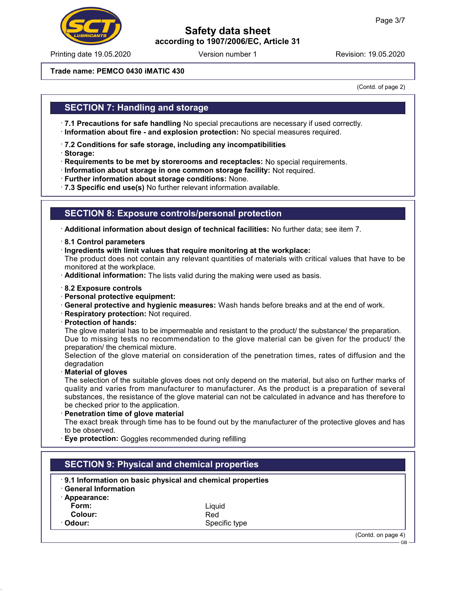

Printing date 19.05.2020 **Revision: 19.05.2020** Version number 1

#### Trade name: PEMCO 0430 iMATIC 430

(Contd. of page 2)

 $GB -$ 

#### SECTION 7: Handling and storage

· 7.1 Precautions for safe handling No special precautions are necessary if used correctly. · Information about fire - and explosion protection: No special measures required.

- · 7.2 Conditions for safe storage, including any incompatibilities
- · Storage:
- · Requirements to be met by storerooms and receptacles: No special requirements.
- · Information about storage in one common storage facility: Not required.
- · Further information about storage conditions: None.
- · 7.3 Specific end use(s) No further relevant information available.

#### SECTION 8: Exposure controls/personal protection

· Additional information about design of technical facilities: No further data; see item 7.

- · 8.1 Control parameters
- · Ingredients with limit values that require monitoring at the workplace:

The product does not contain any relevant quantities of materials with critical values that have to be monitored at the workplace.

- · Additional information: The lists valid during the making were used as basis.
- · 8.2 Exposure controls
- · Personal protective equipment:
- · General protective and hygienic measures: Wash hands before breaks and at the end of work.
- · Respiratory protection: Not required.
- · Protection of hands:

The glove material has to be impermeable and resistant to the product/ the substance/ the preparation. Due to missing tests no recommendation to the glove material can be given for the product/ the preparation/ the chemical mixture.

Selection of the glove material on consideration of the penetration times, rates of diffusion and the degradation

**Material of gloves** 

The selection of the suitable gloves does not only depend on the material, but also on further marks of quality and varies from manufacturer to manufacturer. As the product is a preparation of several substances, the resistance of the glove material can not be calculated in advance and has therefore to be checked prior to the application.

· Penetration time of glove material

The exact break through time has to be found out by the manufacturer of the protective gloves and has to be observed.

· Eye protection: Goggles recommended during refilling

| <b>SECTION 9: Physical and chemical properties</b> |                                                           |                    |  |  |
|----------------------------------------------------|-----------------------------------------------------------|--------------------|--|--|
| <b>General Information</b>                         | 9.1 Information on basic physical and chemical properties |                    |  |  |
| Appearance:<br>Form:                               | Liauid                                                    |                    |  |  |
| Colour:                                            | Red                                                       |                    |  |  |
| · Odour:                                           | Specific type                                             |                    |  |  |
|                                                    |                                                           | (Contd. on page 4) |  |  |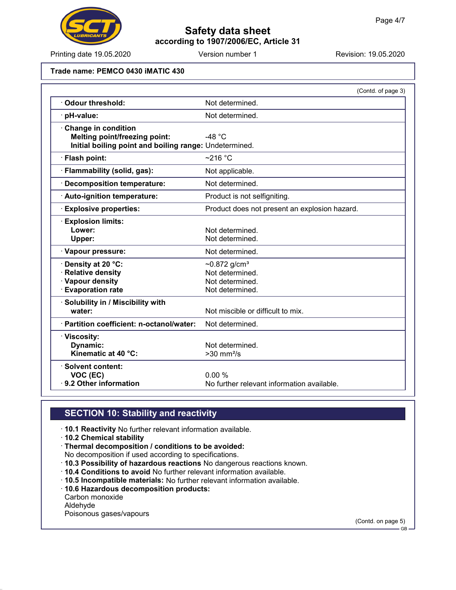

Printing date 19.05.2020 **Revision: 19.05.2020** Version number 1

#### Trade name: PEMCO 0430 iMATIC 430

|                                                        | (Contd. of page 3)                            |
|--------------------------------------------------------|-----------------------------------------------|
| Odour threshold:                                       | Not determined.                               |
| pH-value:                                              | Not determined.                               |
| <b>Change in condition</b>                             |                                               |
| <b>Melting point/freezing point:</b>                   | -48 $°C$                                      |
| Initial boiling point and boiling range: Undetermined. |                                               |
| · Flash point:                                         | $~216$ °C                                     |
| · Flammability (solid, gas):                           | Not applicable.                               |
| <b>Decomposition temperature:</b>                      | Not determined.                               |
| · Auto-ignition temperature:                           | Product is not selfigniting.                  |
| <b>Explosive properties:</b>                           | Product does not present an explosion hazard. |
| <b>Explosion limits:</b>                               |                                               |
| Lower:                                                 | Not determined.                               |
| Upper:                                                 | Not determined.                               |
| · Vapour pressure:                                     | Not determined.                               |
| Density at 20 °C:                                      | ~0.872 $g/cm^{3}$                             |
| <b>Relative density</b>                                | Not determined.                               |
| · Vapour density                                       | Not determined.                               |
| <b>Evaporation rate</b>                                | Not determined.                               |
| · Solubility in / Miscibility with                     |                                               |
| water:                                                 | Not miscible or difficult to mix.             |
| · Partition coefficient: n-octanol/water:              | Not determined.                               |
| · Viscosity:                                           |                                               |
| Dynamic:                                               | Not determined.                               |
| Kinematic at 40 °C:                                    | $>30$ mm <sup>2</sup> /s                      |
| · Solvent content:                                     |                                               |
| VOC (EC)                                               | 0.00%                                         |
| 9.2 Other information                                  | No further relevant information available.    |

### SECTION 10: Stability and reactivity

- · 10.1 Reactivity No further relevant information available.
- · 10.2 Chemical stability
- · Thermal decomposition / conditions to be avoided:
- No decomposition if used according to specifications.
- · 10.3 Possibility of hazardous reactions No dangerous reactions known.
- · 10.4 Conditions to avoid No further relevant information available.
- · 10.5 Incompatible materials: No further relevant information available.
- · 10.6 Hazardous decomposition products:
- Carbon monoxide
- Aldehyde

Poisonous gases/vapours

(Contd. on page 5)

GB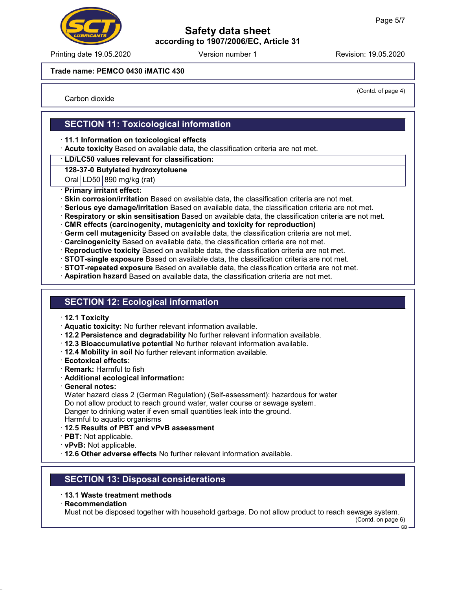

Printing date 19.05.2020 **Revision: 19.05.2020** Version number 1

#### Trade name: PEMCO 0430 iMATIC 430

Carbon dioxide

(Contd. of page 4)

## SECTION 11: Toxicological information

- · 11.1 Information on toxicological effects
- · Acute toxicity Based on available data, the classification criteria are not met.
- · LD/LC50 values relevant for classification:

128-37-0 Butylated hydroxytoluene

Oral LD50 890 mg/kg (rat)

- · Primary irritant effect:
- · Skin corrosion/irritation Based on available data, the classification criteria are not met.
- · Serious eye damage/irritation Based on available data, the classification criteria are not met.
- · Respiratory or skin sensitisation Based on available data, the classification criteria are not met.
- · CMR effects (carcinogenity, mutagenicity and toxicity for reproduction)
- · Germ cell mutagenicity Based on available data, the classification criteria are not met.
- · Carcinogenicity Based on available data, the classification criteria are not met.
- · Reproductive toxicity Based on available data, the classification criteria are not met.
- · STOT-single exposure Based on available data, the classification criteria are not met.
- · STOT-repeated exposure Based on available data, the classification criteria are not met.
- · Aspiration hazard Based on available data, the classification criteria are not met.

#### SECTION 12: Ecological information

- · 12.1 Toxicity
- · Aquatic toxicity: No further relevant information available.
- · 12.2 Persistence and degradability No further relevant information available.
- · 12.3 Bioaccumulative potential No further relevant information available.
- · 12.4 Mobility in soil No further relevant information available.
- · Ecotoxical effects:
- · Remark: Harmful to fish
- · Additional ecological information:
- · General notes:

Water hazard class 2 (German Regulation) (Self-assessment): hazardous for water Do not allow product to reach ground water, water course or sewage system. Danger to drinking water if even small quantities leak into the ground. Harmful to aquatic organisms

- · 12.5 Results of PBT and vPvB assessment
- · PBT: Not applicable.
- · vPvB: Not applicable.
- · 12.6 Other adverse effects No further relevant information available.

#### SECTION 13: Disposal considerations

- · 13.1 Waste treatment methods
- · Recommendation

Must not be disposed together with household garbage. Do not allow product to reach sewage system.

(Contd. on page 6)

GB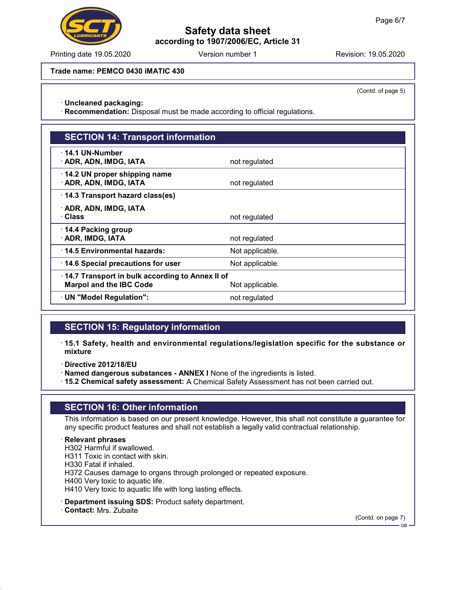Printing date 19.05.2020 **Revision: 19.05.2020** Version number 1

Trade name: PEMCO 0430 iMATIC 430

(Contd. of page 5)

· Uncleaned packaging:

· Recommendation: Disposal must be made according to official regulations.

# SECTION 14: Transport information

| 14.1 UN-Number                                  |                 |  |  |  |
|-------------------------------------------------|-----------------|--|--|--|
| · ADR, ADN, IMDG, IATA                          | not regulated   |  |  |  |
| 14.2 UN proper shipping name                    |                 |  |  |  |
|                                                 |                 |  |  |  |
| · ADR, ADN, IMDG, IATA                          | not regulated   |  |  |  |
| 14.3 Transport hazard class(es)                 |                 |  |  |  |
| · ADR, ADN, IMDG, IATA                          |                 |  |  |  |
| · Class                                         | not regulated   |  |  |  |
| 14.4 Packing group                              |                 |  |  |  |
| · ADR, IMDG, IATA                               | not regulated   |  |  |  |
| 14.5 Environmental hazards:                     | Not applicable. |  |  |  |
| 14.6 Special precautions for user               | Not applicable. |  |  |  |
| 14.7 Transport in bulk according to Annex II of |                 |  |  |  |
| <b>Marpol and the IBC Code</b>                  | Not applicable. |  |  |  |
| · UN "Model Regulation":                        | not regulated   |  |  |  |
|                                                 |                 |  |  |  |

# SECTION 15: Regulatory information

- · 15.1 Safety, health and environmental regulations/legislation specific for the substance or mixture
- · Directive 2012/18/EU
- · Named dangerous substances ANNEX I None of the ingredients is listed.
- · 15.2 Chemical safety assessment: A Chemical Safety Assessment has not been carried out.

#### SECTION 16: Other information

This information is based on our present knowledge. However, this shall not constitute a guarantee for any specific product features and shall not establish a legally valid contractual relationship.

#### · Relevant phrases

H302 Harmful if swallowed. H311 Toxic in contact with skin.

H330 Fatal if inhaled.

H372 Causes damage to organs through prolonged or repeated exposure.

H400 Very toxic to aquatic life.

H410 Very toxic to aquatic life with long lasting effects.

- · Department issuing SDS: Product safety department.
- · Contact: Mrs. Zubaite

(Contd. on page 7)

GB